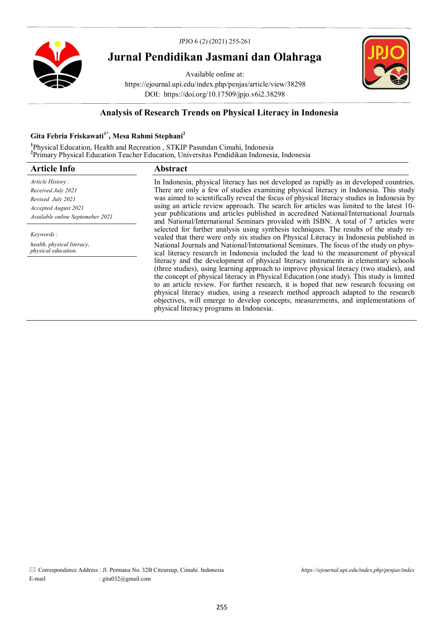



# **Jurnal Pendidikan Jasmani dan Olahraga**

Available online at: https://ejournal.upi.edu/index.php/penjas/article/view/38298 DOI: https://doi.org/10.17509/jpjo.v6i2.38298



## **Analysis of Research Trends on Physical Literacy in Indonesia**

## **Gita Febria Friskawati1\*, Mesa Rahmi Stephani<sup>2</sup>**

**1** Physical Education, Health and Recreation , STKIP Pasundan Cimahi, Indonesia **2** Primary Physical Education Teacher Education, Universitas Pendidikan Indonesia, Indonesia

| <b>Abstract</b>                                                                                                                                                                                                                                                                                                                                                                                                                                                                                                                                                                               |  |  |  |
|-----------------------------------------------------------------------------------------------------------------------------------------------------------------------------------------------------------------------------------------------------------------------------------------------------------------------------------------------------------------------------------------------------------------------------------------------------------------------------------------------------------------------------------------------------------------------------------------------|--|--|--|
| In Indonesia, physical literacy has not developed as rapidly as in developed countries.                                                                                                                                                                                                                                                                                                                                                                                                                                                                                                       |  |  |  |
| There are only a few of studies examining physical literacy in Indonesia. This study                                                                                                                                                                                                                                                                                                                                                                                                                                                                                                          |  |  |  |
| was aimed to scientifically reveal the focus of physical literacy studies in Indonesia by                                                                                                                                                                                                                                                                                                                                                                                                                                                                                                     |  |  |  |
| using an article review approach. The search for articles was limited to the latest 10-                                                                                                                                                                                                                                                                                                                                                                                                                                                                                                       |  |  |  |
| year publications and articles published in accredited National/International Journals<br>and National/International Seminars provided with ISBN. A total of 7 articles were                                                                                                                                                                                                                                                                                                                                                                                                                  |  |  |  |
| selected for further analysis using synthesis techniques. The results of the study re-<br>vealed that there were only six studies on Physical Literacy in Indonesia published in                                                                                                                                                                                                                                                                                                                                                                                                              |  |  |  |
| National Journals and National/International Seminars. The focus of the study on phys-<br>ical literacy research in Indonesia included the lead to the measurement of physical                                                                                                                                                                                                                                                                                                                                                                                                                |  |  |  |
| literacy and the development of physical literacy instruments in elementary schools<br>(three studies), using learning approach to improve physical literacy (two studies), and<br>the concept of physical literacy in Physical Education (one study). This study is limited<br>to an article review. For further research, it is hoped that new research focusing on<br>physical literacy studies, using a research method approach adapted to the research<br>objectives, will emerge to develop concepts, measurements, and implementations of<br>physical literacy programs in Indonesia. |  |  |  |
|                                                                                                                                                                                                                                                                                                                                                                                                                                                                                                                                                                                               |  |  |  |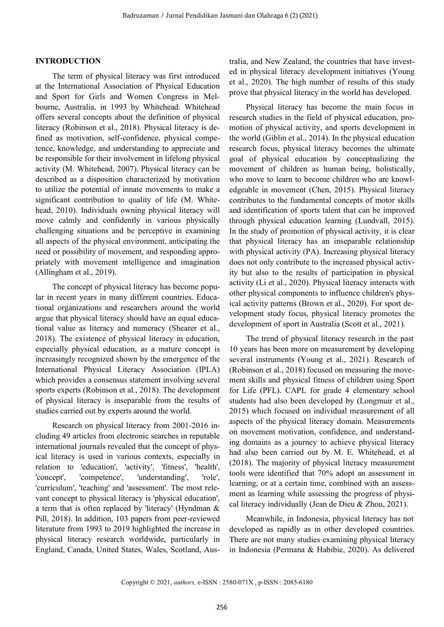## **INTRODUCTION**

The term of physical literacy was first introduced at the International Association of Physical Education and Sport for Girls and Women Congress in Melbourne, Australia, in 1993 by Whitehead. Whitehead offers several concepts about the definition of physical literacy (Robinson et al., 2018). Physical literacy is defined as motivation, self-confidence, physical competence, knowledge, and understanding to appreciate and be responsible for their involvement in lifelong physical activity (M. Whitehead, 2007). Physical literacy can be described as a disposition characterized by motivation to utilize the potential of innate movements to make a significant contribution to quality of life (M. Whitehead, 2010). Individuals owning physical literacy will move calmly and confidently in various physically challenging situations and be perceptive in examining all aspects of the physical environment, anticipating the need or possibility of movement, and responding appropriately with movement intelligence and imagination (Allingham et al., 2019).

The concept of physical literacy has become popular in recent years in many different countries. Educational organizations and researchers around the world argue that physical literacy should have an equal educational value as literacy and numeracy (Shearer et al., 2018). The existence of physical literacy in education, especially physical education, as a mature concept is increasingly recognized shown by the emergence of the International Physical Literacy Association (IPLA) which provides a consensus statement involving several sports experts (Robinson et al., 2018). The development of physical literacy is inseparable from the results of studies carried out by experts around the world.

Research on physical literacy from 2001-2016 including 49 articles from electronic searches in reputable international journals revealed that the concept of physical literacy is used in various contexts, especially in relation to 'education', 'activity', 'fitness', 'health', 'concept', 'competence', 'understanding', 'role', 'curriculum', 'teaching' and 'assessment'. The most relevant concept to physical literacy is 'physical education', a term that is often replaced by 'literacy' (Hyndman & Pill, 2018). In addition, 103 papers from peer-reviewed literature from 1993 to 2019 highlighted the increase in physical literacy research worldwide, particularly in England, Canada, United States, Wales, Scotland, Australia, and New Zealand, the countries that have invested in physical literacy development initiatives (Young et al., 2020). The high number of results of this study prove that physical literacy in the world has developed.

Physical literacy has become the main focus in research studies in the field of physical education, promotion of physical activity, and sports development in the world (Giblin et al., 2014). In the physical education research focus, physical literacy becomes the ultimate goal of physical education by conceptualizing the movement of children as human being, holistically, who move to learn to become children who are knowledgeable in movement (Chen, 2015). Physical literacy contributes to the fundamental concepts of motor skills and identification of sports talent that can be improved through physical education learning (Lundvall, 2015). In the study of promotion of physical activity, it is clear that physical literacy has an inseparable relationship with physical activity (PA). Increasing physical literacy does not only contribute to the increased physical activity but also to the results of participation in physical activity (Li et al., 2020). Physical literacy interacts with other physical components to influence children's physical activity patterns (Brown et al., 2020). For sport development study focus, physical literacy promotes the development of sport in Australia (Scott et al., 2021).

The trend of physical literacy research in the past 10 years has been more on measurement by developing several instruments (Young et al., 2021). Research of (Robinson et al., 2018) focused on measuring the movement skills and physical fitness of children using Sport for Life (PFL). CAPL for grade 4 elementary school students had also been developed by (Longmuir et al., 2015) which focused on individual measurement of all aspects of the physical literacy domain. Measurements on movement motivation, confidence, and understanding domains as a journey to achieve physical literacy had also been carried out by M. E. Whitehead, et al (2018). The majority of physical literacy measurement tools were identified that 70% adopt an assessment in learning, or at a certain time, combined with an assessment as learning while assessing the progress of physical literacy individually (Jean de Dieu & Zhou, 2021).

Meanwhile, in Indonesia, physical literacy has not developed as rapidly as in other developed countries. There are not many studies examining physical literacy in Indonesia (Permana & Habibie, 2020). As delivered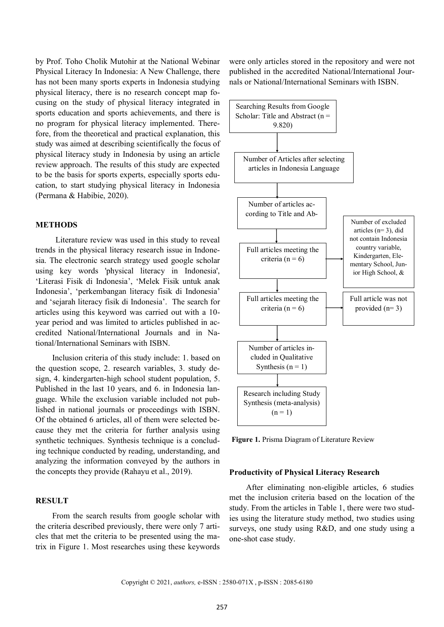by Prof. Toho Cholik Mutohir at the National Webinar Physical Literacy In Indonesia: A New Challenge, there has not been many sports experts in Indonesia studying physical literacy, there is no research concept map focusing on the study of physical literacy integrated in sports education and sports achievements, and there is no program for physical literacy implemented. Therefore, from the theoretical and practical explanation, this study was aimed at describing scientifically the focus of physical literacy study in Indonesia by using an article review approach. The results of this study are expected to be the basis for sports experts, especially sports education, to start studying physical literacy in Indonesia (Permana & Habibie, 2020).

## **METHODS**

Literature review was used in this study to reveal trends in the physical literacy research issue in Indonesia. The electronic search strategy used google scholar using key words 'physical literacy in Indonesia', 'Literasi Fisik di Indonesia', 'Melek Fisik untuk anak Indonesia', 'perkembangan literacy fisik di Indonesia' and 'sejarah literacy fisik di Indonesia'. The search for articles using this keyword was carried out with a 10 year period and was limited to articles published in accredited National/International Journals and in National/International Seminars with ISBN.

Inclusion criteria of this study include: 1. based on the question scope, 2. research variables, 3. study design, 4. kindergarten-high school student population, 5. Published in the last 10 years, and 6. in Indonesia language. While the exclusion variable included not published in national journals or proceedings with ISBN. Of the obtained 6 articles, all of them were selected because they met the criteria for further analysis using synthetic techniques. Synthesis technique is a concluding technique conducted by reading, understanding, and analyzing the information conveyed by the authors in the concepts they provide (Rahayu et al., 2019).

## **RESULT**

From the search results from google scholar with the criteria described previously, there were only 7 articles that met the criteria to be presented using the matrix in Figure 1. Most researches using these keywords were only articles stored in the repository and were not published in the accredited National/International Journals or National/International Seminars with ISBN.



**Figure 1.** Prisma Diagram of Literature Review

#### **Productivity of Physical Literacy Research**

After eliminating non-eligible articles, 6 studies met the inclusion criteria based on the location of the study. From the articles in Table 1, there were two studies using the literature study method, two studies using surveys, one study using R&D, and one study using a one-shot case study.

Copyright © 2021, *authors,* e-ISSN : 2580-071X , p-ISSN : 2085-6180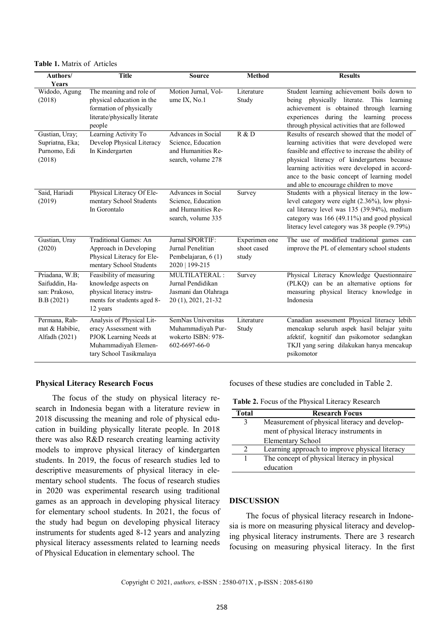**Table 1.** Matrix of Articles

| Authors/                                                        | <b>Title</b>                                                                                                                    | <b>Source</b>                                                                        | <b>Method</b>                         | <b>Results</b>                                                                                                                                                                                                                                                                                                                            |
|-----------------------------------------------------------------|---------------------------------------------------------------------------------------------------------------------------------|--------------------------------------------------------------------------------------|---------------------------------------|-------------------------------------------------------------------------------------------------------------------------------------------------------------------------------------------------------------------------------------------------------------------------------------------------------------------------------------------|
| Years                                                           |                                                                                                                                 |                                                                                      |                                       |                                                                                                                                                                                                                                                                                                                                           |
| Widodo, Agung<br>(2018)                                         | The meaning and role of<br>physical education in the<br>formation of physically<br>literate/physically literate<br>people       | Motion Jurnal, Vol-<br>ume IX, No.1                                                  | Literature<br>Study                   | Student learning achievement boils down to<br>being physically literate.<br>This<br>learning<br>achievement is obtained through<br>learning<br>experiences during the learning process<br>through physical activities that are followed                                                                                                   |
| Gustian, Uray;<br>Supriatna, Eka;<br>Purnomo, Edi<br>(2018)     | Learning Activity To<br>Develop Physical Literacy<br>In Kindergarten                                                            | Advances in Social<br>Science, Education<br>and Humanities Re-<br>search, volume 278 | R & D                                 | Results of research showed that the model of<br>learning activities that were developed were<br>feasible and effective to increase the ability of<br>physical literacy of kindergartens because<br>learning activities were developed in accord-<br>ance to the basic concept of learning model<br>and able to encourage children to move |
| Said, Hariadi<br>(2019)                                         | Physical Literacy Of Ele-<br>mentary School Students<br>In Gorontalo                                                            | Advances in Social<br>Science, Education<br>and Humanities Re-<br>search, volume 335 | Survey                                | Students with a physical literacy in the low-<br>level category were eight (2.36%), low physi-<br>cal literacy level was 135 (39.94%), medium<br>category was 166 (49.11%) and good physical<br>literacy level category was 38 people (9.79%)                                                                                             |
| Gustian, Uray<br>(2020)                                         | Traditional Games: An<br>Approach in Developing<br>Physical Literacy for Ele-<br>mentary School Students                        | Jurnal SPORTIF:<br>Jurnal Penelitian<br>Pembelajaran, 6 (1)<br>2020   199-215        | Experimen one<br>shoot cased<br>study | The use of modified traditional games can<br>improve the PL of elementary school students                                                                                                                                                                                                                                                 |
| Priadana, W.B;<br>Saifuddin, Ha-<br>san: Prakoso,<br>B.B (2021) | Feasibility of measuring<br>knowledge aspects on<br>physical literacy instru-<br>ments for students aged 8-<br>12 years         | MULTILATERAL:<br>Jurnal Pendidikan<br>Jasmani dan Olahraga<br>20 (1), 2021, 21-32    | Survey                                | Physical Literacy Knowledge Questionnaire<br>(PLKQ) can be an alternative options for<br>measuring physical literacy knowledge in<br>Indonesia                                                                                                                                                                                            |
| Permana, Rah-<br>mat & Habibie,<br>Alfadh (2021)                | Analysis of Physical Lit-<br>eracy Assessment with<br>PJOK Learning Needs at<br>Muhammadiyah Elemen-<br>tary School Tasikmalaya | SemNas Universitas<br>Muhammadiyah Pur-<br>wokerto ISBN: 978-<br>602-6697-66-0       | Literature<br>Study                   | Canadian assessment Physical literacy lebih<br>mencakup seluruh aspek hasil belajar yaitu<br>afektif, kognitif dan psikomotor sedangkan<br>TKJI yang sering dilakukan hanya mencakup<br>psikomotor                                                                                                                                        |

#### **Physical Literacy Research Focus**

The focus of the study on physical literacy research in Indonesia began with a literature review in 2018 discussing the meaning and role of physical education in building physically literate people. In 2018 there was also R&D research creating learning activity models to improve physical literacy of kindergarten students. In 2019, the focus of research studies led to descriptive measurements of physical literacy in elementary school students. The focus of research studies in 2020 was experimental research using traditional games as an approach in developing physical literacy for elementary school students. In 2021, the focus of the study had begun on developing physical literacy instruments for students aged 8-12 years and analyzing physical literacy assessments related to learning needs of Physical Education in elementary school. The

focuses of these studies are concluded in Table 2.

**Table 2.** Focus of the Physical Literacy Research

| Total | <b>Research Focus</b>                          |  |  |
|-------|------------------------------------------------|--|--|
| 3     | Measurement of physical literacy and develop-  |  |  |
|       | ment of physical literacy instruments in       |  |  |
|       | <b>Elementary School</b>                       |  |  |
|       | Learning approach to improve physical literacy |  |  |
|       | The concept of physical literacy in physical   |  |  |
|       | education                                      |  |  |

## **DISCUSSION**

The focus of physical literacy research in Indonesia is more on measuring physical literacy and developing physical literacy instruments. There are 3 research focusing on measuring physical literacy. In the first

Copyright © 2021, *authors,* e-ISSN : 2580-071X , p-ISSN : 2085-6180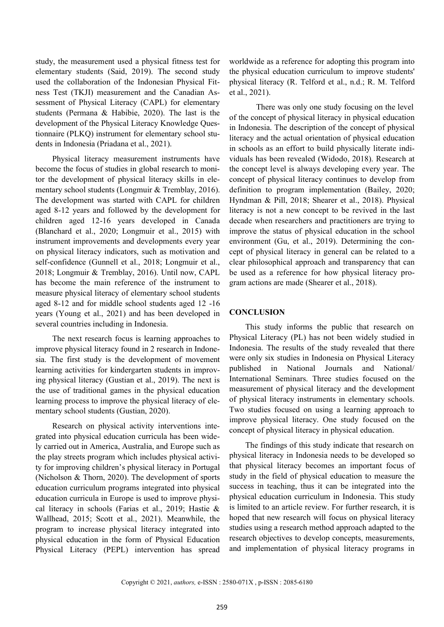study, the measurement used a physical fitness test for elementary students (Said, 2019). The second study used the collaboration of the Indonesian Physical Fitness Test (TKJI) measurement and the Canadian Assessment of Physical Literacy (CAPL) for elementary students (Permana & Habibie, 2020). The last is the development of the Physical Literacy Knowledge Questionnaire (PLKQ) instrument for elementary school students in Indonesia (Priadana et al., 2021).

Physical literacy measurement instruments have become the focus of studies in global research to monitor the development of physical literacy skills in elementary school students (Longmuir & Tremblay, 2016). The development was started with CAPL for children aged 8-12 years and followed by the development for children aged 12-16 years developed in Canada (Blanchard et al., 2020; Longmuir et al., 2015) with instrument improvements and developments every year on physical literacy indicators, such as motivation and self-confidence (Gunnell et al., 2018; Longmuir et al., 2018; Longmuir & Tremblay, 2016). Until now, CAPL has become the main reference of the instrument to measure physical literacy of elementary school students aged 8-12 and for middle school students aged 12 -16 years (Young et al., 2021) and has been developed in several countries including in Indonesia.

The next research focus is learning approaches to improve physical literacy found in 2 research in Indonesia. The first study is the development of movement learning activities for kindergarten students in improving physical literacy (Gustian et al., 2019). The next is the use of traditional games in the physical education learning process to improve the physical literacy of elementary school students (Gustian, 2020).

Research on physical activity interventions integrated into physical education curricula has been widely carried out in America, Australia, and Europe such as the play streets program which includes physical activity for improving children's physical literacy in Portugal (Nicholson & Thorn, 2020). The development of sports education curriculum programs integrated into physical education curricula in Europe is used to improve physical literacy in schools (Farias et al., 2019; Hastie & Wallhead, 2015; Scott et al., 2021). Meanwhile, the program to increase physical literacy integrated into physical education in the form of Physical Education Physical Literacy (PEPL) intervention has spread

worldwide as a reference for adopting this program into the physical education curriculum to improve students' physical literacy (R. Telford et al., n.d.; R. M. Telford et al., 2021).

There was only one study focusing on the level of the concept of physical literacy in physical education in Indonesia. The description of the concept of physical literacy and the actual orientation of physical education in schools as an effort to build physically literate individuals has been revealed (Widodo, 2018). Research at the concept level is always developing every year. The concept of physical literacy continues to develop from definition to program implementation (Bailey, 2020; Hyndman & Pill, 2018; Shearer et al., 2018). Physical literacy is not a new concept to be revived in the last decade when researchers and practitioners are trying to improve the status of physical education in the school environment (Gu, et al., 2019). Determining the concept of physical literacy in general can be related to a clear philosophical approach and transparency that can be used as a reference for how physical literacy program actions are made (Shearer et al., 2018).

## **CONCLUSION**

This study informs the public that research on Physical Literacy (PL) has not been widely studied in Indonesia. The results of the study revealed that there were only six studies in Indonesia on Physical Literacy published in National Journals and National/ International Seminars. Three studies focused on the measurement of physical literacy and the development of physical literacy instruments in elementary schools. Two studies focused on using a learning approach to improve physical literacy. One study focused on the concept of physical literacy in physical education.

The findings of this study indicate that research on physical literacy in Indonesia needs to be developed so that physical literacy becomes an important focus of study in the field of physical education to measure the success in teaching, thus it can be integrated into the physical education curriculum in Indonesia. This study is limited to an article review. For further research, it is hoped that new research will focus on physical literacy studies using a research method approach adapted to the research objectives to develop concepts, measurements, and implementation of physical literacy programs in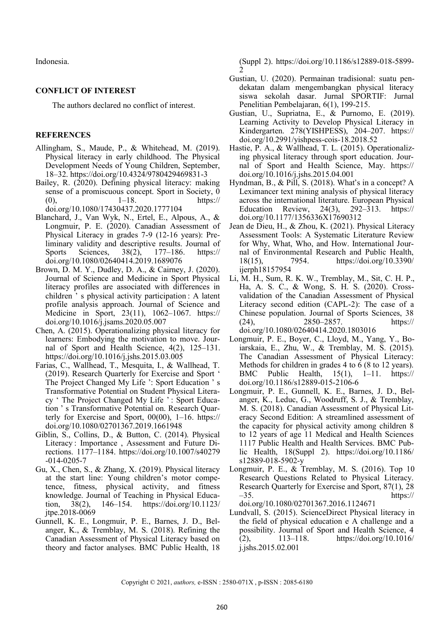Indonesia.

## **CONFLICT OF INTEREST**

The authors declared no conflict of interest.

## **REFERENCES**

- Allingham, S., Maude, P., & Whitehead, M. (2019). Physical literacy in early childhood. The Physical Development Needs of Young Children, September, 18–32. https://doi.org/10.4324/9780429469831-3
- Bailey, R. (2020). Defining physical literacy: making sense of a promiscuous concept. Sport in Society, 0 (0),  $1-18$ , https:// doi.org/10.1080/17430437.2020.1777104
- Blanchard, J., Van Wyk, N., Ertel, E., Alpous, A., & Longmuir, P. E. (2020). Canadian Assessment of Physical Literacy in grades 7-9 (12-16 years): Preliminary validity and descriptive results. Journal of Sports Sciences, 38(2), 177–186. https:// doi.org/10.1080/02640414.2019.1689076
- Brown, D. M. Y., Dudley, D. A., & Cairney, J. (2020). Journal of Science and Medicine in Sport Physical literacy profiles are associated with differences in children ' s physical activity participation : A latent profile analysis approach. Journal of Science and Medicine in Sport, 23(11), 1062–1067. https:// doi.org/10.1016/j.jsams.2020.05.007
- Chen, A. (2015). Operationalizing physical literacy for learners: Embodying the motivation to move. Journal of Sport and Health Science, 4(2), 125–131. https://doi.org/10.1016/j.jshs.2015.03.005
- Farias, C., Wallhead, T., Mesquita, I., & Wallhead, T. (2019). Research Quarterly for Exercise and Sport ' The Project Changed My Life ': Sport Education ' s Transformative Potential on Student Physical Literacy ' The Project Changed My Life ' : Sport Education ' s Transformative Potential on. Research Quarterly for Exercise and Sport, 00(00), 1–16. https:// doi.org/10.1080/02701367.2019.1661948
- Giblin, S., Collins, D., & Button, C. (2014). Physical Literacy : Importance , Assessment and Future Directions. 1177–1184. https://doi.org/10.1007/s40279 -014-0205-7
- Gu, X., Chen, S., & Zhang, X. (2019). Physical literacy at the start line: Young children's motor competence, fitness, physical activity, and fitness knowledge. Journal of Teaching in Physical Education, 38(2), 146–154. https://doi.org/10.1123/ jtpe.2018-0069
- Gunnell, K. E., Longmuir, P. E., Barnes, J. D., Belanger, K., & Tremblay, M. S. (2018). Refining the Canadian Assessment of Physical Literacy based on theory and factor analyses. BMC Public Health, 18

(Suppl 2). https://doi.org/10.1186/s12889-018-5899- 2

- Gustian, U. (2020). Permainan tradisional: suatu pendekatan dalam mengembangkan physical literacy siswa sekolah dasar. Jurnal SPORTIF: Jurnal Penelitian Pembelajaran, 6(1), 199-215.
- Gustian, U., Supriatna, E., & Purnomo, E. (2019). Learning Activity to Develop Physical Literacy in Kindergarten. 278(YISHPESS), 204–207. https:// doi.org/10.2991/yishpess-cois-18.2018.52
- Hastie, P. A., & Wallhead, T. L. (2015). Operationalizing physical literacy through sport education. Journal of Sport and Health Science, May. https:// doi.org/10.1016/j.jshs.2015.04.001
- Hyndman, B., & Pill, S. (2018). What's in a concept? A Leximancer text mining analysis of physical literacy across the international literature. European Physical Education Review, 24(3), 292–313. https:// doi.org/10.1177/1356336X17690312
- Jean de Dieu, H., & Zhou, K. (2021). Physical Literacy Assessment Tools: A Systematic Literature Review for Why, What, Who, and How. International Journal of Environmental Research and Public Health, 18(15), 7954. https://doi.org/10.3390/ ijerph18157954
- Li, M. H., Sum, R. K. W., Tremblay, M., Sit, C. H. P., Ha, A. S. C., & Wong, S. H. S. (2020). Crossvalidation of the Canadian Assessment of Physical Literacy second edition (CAPL-2): The case of a Chinese population. Journal of Sports Sciences, 38 (24), 2850–2857. https:// doi.org/10.1080/02640414.2020.1803016
- Longmuir, P. E., Boyer, C., Lloyd, M., Yang, Y., Boiarskaia, E., Zhu, W., & Tremblay, M. S. (2015). The Canadian Assessment of Physical Literacy: Methods for children in grades 4 to 6 (8 to 12 years). BMC Public Health, 15(1), 1–11. https:// doi.org/10.1186/s12889-015-2106-6
- Longmuir, P. E., Gunnell, K. E., Barnes, J. D., Belanger, K., Leduc, G., Woodruff, S. J., & Tremblay, M. S. (2018). Canadian Assessment of Physical Literacy Second Edition: A streamlined assessment of the capacity for physical activity among children 8 to 12 years of age 11 Medical and Health Sciences 1117 Public Health and Health Services. BMC Public Health, 18(Suppl 2). https://doi.org/10.1186/ s12889-018-5902-y
- Longmuir, P. E., & Tremblay, M. S. (2016). Top 10 Research Questions Related to Physical Literacy. Research Quarterly for Exercise and Sport, 87(1), 28  $-35.$  https:// doi.org/10.1080/02701367.2016.1124671

Lundvall, S. (2015). ScienceDirect Physical literacy in the field of physical education e A challenge and a possibility. Journal of Sport and Health Science, 4 (2), 113–118. https://doi.org/10.1016/ j.jshs.2015.02.001

Copyright © 2021, *authors,* e-ISSN : 2580-071X , p-ISSN : 2085-6180